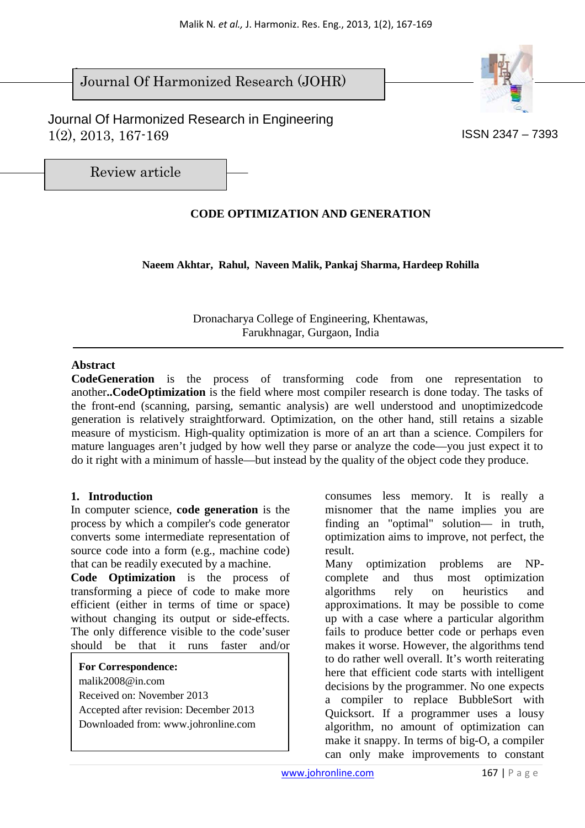$\overline{\phantom{a}}$ Journal Of Harmonized Research (JOHR)

 Journal Of Harmonized Research in Engineering  $1(2)$ ,  $2013$ ,  $167-169$  ISSN 2347 – 7393



Review article

# **CODE OPTIMIZATION AND GENERATION**

**Naeem Akhtar, Rahul, Naveen Malik, Pankaj Sharma, Hardeep Rohilla** 

Dronacharya College of Engineering, Khentawas, Farukhnagar, Gurgaon, India

### **Abstract**

**CodeGeneration** is the process of transforming code from one representation to another**..CodeOptimization** is the field where most compiler research is done today. The tasks of the front-end (scanning, parsing, semantic analysis) are well understood and unoptimizedcode generation is relatively straightforward. Optimization, on the other hand, still retains a sizable measure of mysticism. High-quality optimization is more of an art than a science. Compilers for mature languages aren't judged by how well they parse or analyze the code—you just expect it to do it right with a minimum of hassle—but instead by the quality of the object code they produce.

## **1. Introduction**

In computer science, **code generation** is the process by which a compiler's code generator converts some intermediate representation of source code into a form (e.g., machine code) that can be readily executed by a machine.

**Code Optimization** is the process of transforming a piece of code to make more efficient (either in terms of time or space) without changing its output or side-effects. The only difference visible to the code'suser should be that it runs faster and/or

**For Correspondence:**  malik2008@in.com Received on: November 2013 Accepted after revision: December 2013 Downloaded from: www.johronline.com

consumes less memory. It is really a misnomer that the name implies you are finding an "optimal" solution— in truth, optimization aims to improve, not perfect, the result.

Many optimization problems are NPcomplete and thus most optimization algorithms rely on heuristics and approximations. It may be possible to come up with a case where a particular algorithm fails to produce better code or perhaps even makes it worse. However, the algorithms tend to do rather well overall. It's worth reiterating here that efficient code starts with intelligent decisions by the programmer. No one expects a compiler to replace BubbleSort with Quicksort. If a programmer uses a lousy algorithm, no amount of optimization can make it snappy. In terms of big-O, a compiler can only make improvements to constant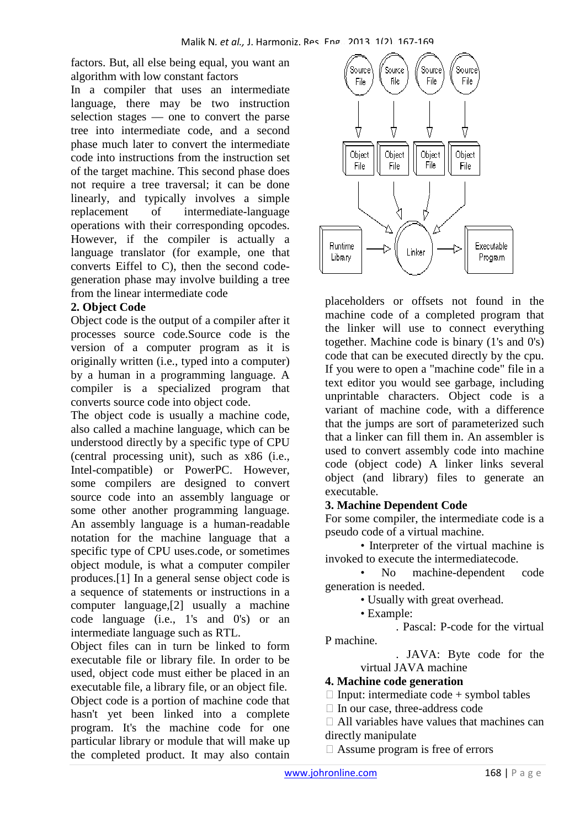factors. But, all else being equal, you want an algorithm with low constant factors

In a compiler that uses an intermediate language, there may be two instruction selection stages — one to convert the parse tree into intermediate code, and a second phase much later to convert the intermediate code into instructions from the instruction set of the target machine. This second phase does not require a tree traversal; it can be done linearly, and typically involves a simple replacement of intermediate-language operations with their corresponding opcodes. However, if the compiler is actually a language translator (for example, one that converts Eiffel to C), then the second codegeneration phase may involve building a tree from the linear intermediate code

### **2. Object Code**

Object code is the output of a compiler after it processes source code.Source code is the version of a computer program as it is originally written (i.e., typed into a computer) by a human in a programming language. A compiler is a specialized program that converts source code into object code.

The object code is usually a machine code, also called a machine language, which can be understood directly by a specific type of CPU (central processing unit), such as x86 (i.e., Intel-compatible) or PowerPC. However, some compilers are designed to convert source code into an assembly language or some other another programming language. An assembly language is a human-readable notation for the machine language that a specific type of CPU uses.code, or sometimes object module, is what a computer compiler produces.[1] In a general sense object code is a sequence of statements or instructions in a computer language,[2] usually a machine code language (i.e., 1's and 0's) or an intermediate language such as RTL.

Object files can in turn be linked to form executable file or library file. In order to be used, object code must either be placed in an executable file, a library file, or an object file. Object code is a portion of machine code that hasn't yet been linked into a complete program. It's the machine code for one particular library or module that will make up the completed product. It may also contain



placeholders or offsets not found in the machine code of a completed program that the linker will use to connect everything together. Machine code is binary (1's and 0's) code that can be executed directly by the cpu. If you were to open a "machine code" file in a text editor you would see garbage, including unprintable characters. Object code is a variant of machine code, with a difference that the jumps are sort of parameterized such that a linker can fill them in. An assembler is used to convert assembly code into machine code (object code) A linker links several object (and library) files to generate an executable.

## **3. Machine Dependent Code**

For some compiler, the intermediate code is a pseudo code of a virtual machine.

• Interpreter of the virtual machine is invoked to execute the intermediatecode.

No machine-dependent code generation is needed.

• Usually with great overhead.

• Example:

. Pascal: P-code for the virtual P machine.

> . JAVA: Byte code for the virtual JAVA machine

### **4. Machine code generation**

Input: intermediate code + symbol tables

In our case, three-address code

 All variables have values that machines can directly manipulate

Assume program is free of errors